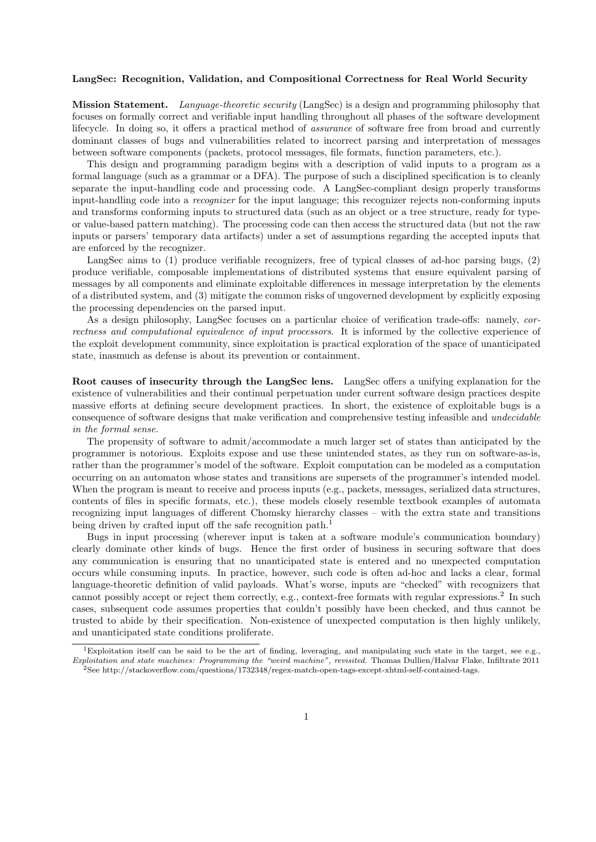## LangSec: Recognition, Validation, and Compositional Correctness for Real World Security

Mission Statement. Language-theoretic security (LangSec) is a design and programming philosophy that focuses on formally correct and verifiable input handling throughout all phases of the software development lifecycle. In doing so, it offers a practical method of *assurance* of software free from broad and currently dominant classes of bugs and vulnerabilities related to incorrect parsing and interpretation of messages between software components (packets, protocol messages, file formats, function parameters, etc.).

This design and programming paradigm begins with a description of valid inputs to a program as a formal language (such as a grammar or a DFA). The purpose of such a disciplined specification is to cleanly separate the input-handling code and processing code. A LangSec-compliant design properly transforms input-handling code into a recognizer for the input language; this recognizer rejects non-conforming inputs and transforms conforming inputs to structured data (such as an object or a tree structure, ready for typeor value-based pattern matching). The processing code can then access the structured data (but not the raw inputs or parsers' temporary data artifacts) under a set of assumptions regarding the accepted inputs that are enforced by the recognizer.

LangSec aims to (1) produce verifiable recognizers, free of typical classes of ad-hoc parsing bugs, (2) produce verifiable, composable implementations of distributed systems that ensure equivalent parsing of messages by all components and eliminate exploitable differences in message interpretation by the elements of a distributed system, and (3) mitigate the common risks of ungoverned development by explicitly exposing the processing dependencies on the parsed input.

As a design philosophy, LangSec focuses on a particular choice of verification trade-offs: namely, correctness and computational equivalence of input processors. It is informed by the collective experience of the exploit development community, since exploitation is practical exploration of the space of unanticipated state, inasmuch as defense is about its prevention or containment.

Root causes of insecurity through the LangSec lens. LangSec offers a unifying explanation for the existence of vulnerabilities and their continual perpetuation under current software design practices despite massive efforts at defining secure development practices. In short, the existence of exploitable bugs is a consequence of software designs that make verification and comprehensive testing infeasible and undecidable in the formal sense.

The propensity of software to admit/accommodate a much larger set of states than anticipated by the programmer is notorious. Exploits expose and use these unintended states, as they run on software-as-is, rather than the programmer's model of the software. Exploit computation can be modeled as a computation occurring on an automaton whose states and transitions are supersets of the programmer's intended model. When the program is meant to receive and process inputs (e.g., packets, messages, serialized data structures, contents of files in specific formats, etc.), these models closely resemble textbook examples of automata recognizing input languages of different Chomsky hierarchy classes – with the extra state and transitions being driven by crafted input off the safe recognition path.<sup>1</sup>

Bugs in input processing (wherever input is taken at a software module's communication boundary) clearly dominate other kinds of bugs. Hence the first order of business in securing software that does any communication is ensuring that no unanticipated state is entered and no unexpected computation occurs while consuming inputs. In practice, however, such code is often ad-hoc and lacks a clear, formal language-theoretic definition of valid payloads. What's worse, inputs are "checked" with recognizers that cannot possibly accept or reject them correctly, e.g., context-free formats with regular expressions.<sup>2</sup> In such cases, subsequent code assumes properties that couldn't possibly have been checked, and thus cannot be trusted to abide by their specification. Non-existence of unexpected computation is then highly unlikely, and unanticipated state conditions proliferate.

<sup>&</sup>lt;sup>1</sup>Exploitation itself can be said to be the art of finding, leveraging, and manipulating such state in the target, see e.g., Exploitation and state machines: Programming the "weird machine", revisited. Thomas Dullien/Halvar Flake, Infiltrate 2011 <sup>2</sup>See http://stackoverflow.com/questions/1732348/regex-match-open-tags-except-xhtml-self-contained-tags.